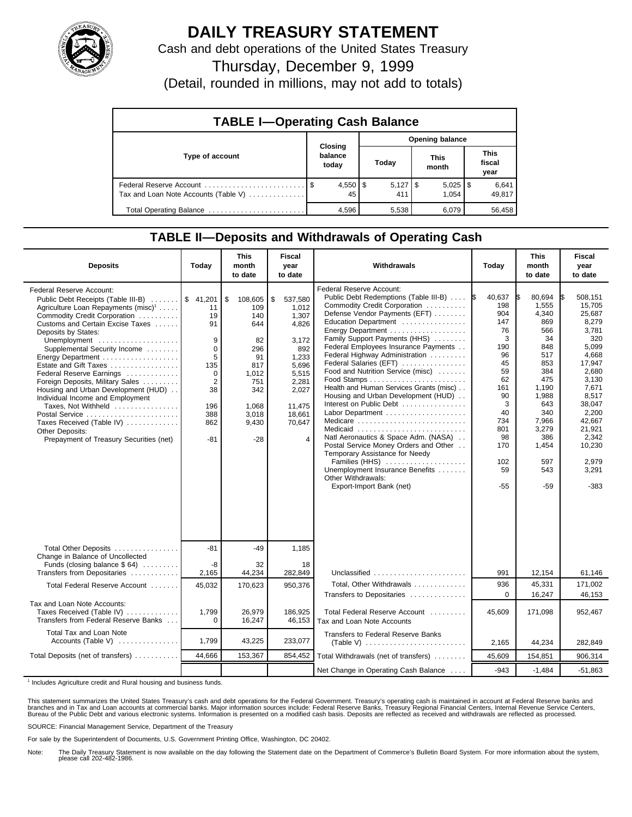

## **DAILY TREASURY STATEMENT**

Cash and debt operations of the United States Treasury

Thursday, December 9, 1999

(Detail, rounded in millions, may not add to totals)

| <b>TABLE I-Operating Cash Balance</b> |                             |                        |                       |                               |  |  |  |
|---------------------------------------|-----------------------------|------------------------|-----------------------|-------------------------------|--|--|--|
|                                       |                             | <b>Opening balance</b> |                       |                               |  |  |  |
| Type of account                       | Closing<br>balance<br>today | Today                  | <b>This</b><br>month  | <b>This</b><br>fiscal<br>year |  |  |  |
| Tax and Loan Note Accounts (Table V)  | $4,550$   \$<br>45          | 411                    | $5,025$   \$<br>1.054 | 6,641<br>49,817               |  |  |  |
| Total Operating Balance               | 4,596                       | 5,538                  | 6.079                 | 56,458                        |  |  |  |

## **TABLE II—Deposits and Withdrawals of Operating Cash**

| <b>Deposits</b>                                                                                                                                                                                                                                                                                                                                                                                                                                                                                                                                                                                             | Today                                                                                                  | <b>This</b><br>month<br>to date                                                                                         | <b>Fiscal</b><br>year<br>to date                                                                                                                      | Withdrawals                                                                                                                                                                                                                                                                                                                                                                                                                                                                                                                                                                                                                                                                                                                                  | Today                                                                                                                                                       | <b>This</b><br>month<br>to date                                                                                                                                                 | <b>Fiscal</b><br>year<br>to date                                                                                                                                                                                  |
|-------------------------------------------------------------------------------------------------------------------------------------------------------------------------------------------------------------------------------------------------------------------------------------------------------------------------------------------------------------------------------------------------------------------------------------------------------------------------------------------------------------------------------------------------------------------------------------------------------------|--------------------------------------------------------------------------------------------------------|-------------------------------------------------------------------------------------------------------------------------|-------------------------------------------------------------------------------------------------------------------------------------------------------|----------------------------------------------------------------------------------------------------------------------------------------------------------------------------------------------------------------------------------------------------------------------------------------------------------------------------------------------------------------------------------------------------------------------------------------------------------------------------------------------------------------------------------------------------------------------------------------------------------------------------------------------------------------------------------------------------------------------------------------------|-------------------------------------------------------------------------------------------------------------------------------------------------------------|---------------------------------------------------------------------------------------------------------------------------------------------------------------------------------|-------------------------------------------------------------------------------------------------------------------------------------------------------------------------------------------------------------------|
| <b>Federal Reserve Account:</b><br>Public Debt Receipts (Table III-B)  \$ 41,201<br>Agriculture Loan Repayments (misc) <sup>1</sup><br>Commodity Credit Corporation<br>Customs and Certain Excise Taxes<br>Deposits by States:<br>Unemployment<br>Supplemental Security Income<br>Energy Department<br>Estate and Gift Taxes<br>Federal Reserve Earnings<br>Foreign Deposits, Military Sales<br>Housing and Urban Development (HUD)<br>Individual Income and Employment<br>Taxes, Not Withheld<br>Postal Service<br>Taxes Received (Table IV)<br>Other Deposits:<br>Prepayment of Treasury Securities (net) | 11<br>19<br>91<br>9<br>0<br>5<br>135<br>$\Omega$<br>$\overline{2}$<br>38<br>196<br>388<br>862<br>$-81$ | \$<br>108,605<br>109<br>140<br>644<br>82<br>296<br>91<br>817<br>1,012<br>751<br>342<br>1.068<br>3,018<br>9,430<br>$-28$ | 537,580<br>\$<br>1,012<br>1.307<br>4,826<br>3,172<br>892<br>1,233<br>5,696<br>5,515<br>2,281<br>2,027<br>11.475<br>18.661<br>70,647<br>$\overline{4}$ | Federal Reserve Account:<br>Public Debt Redemptions (Table III-B)<br>Commodity Credit Corporation<br>Defense Vendor Payments (EFT)<br>Education Department<br>Energy Department<br>Family Support Payments (HHS)<br>Federal Employees Insurance Payments<br>Federal Highway Administration<br>Federal Salaries (EFT)<br>Food and Nutrition Service (misc)<br>Health and Human Services Grants (misc)<br>Housing and Urban Development (HUD)<br>Interest on Public Debt<br>Labor Department<br>Medicare<br>Medicaid<br>Natl Aeronautics & Space Adm. (NASA)<br>Postal Service Money Orders and Other<br>Temporary Assistance for Needy<br>Families (HHS)<br>Unemployment Insurance Benefits<br>Other Withdrawals:<br>Export-Import Bank (net) | 40,637<br><b>IS</b><br>198<br>904<br>147<br>76<br>3<br>190<br>96<br>45<br>59<br>62<br>161<br>90<br>3<br>40<br>734<br>801<br>98<br>170<br>102<br>59<br>$-55$ | 80,694<br>I\$<br>1,555<br>4,340<br>869<br>566<br>34<br>848<br>517<br>853<br>384<br>475<br>1,190<br>1,988<br>643<br>340<br>7,966<br>3,279<br>386<br>1,454<br>597<br>543<br>$-59$ | 508.151<br>I\$<br>15,705<br>25,687<br>8,279<br>3.781<br>320<br>5,099<br>4,668<br>17.947<br>2.680<br>3,130<br>7,671<br>8,517<br>38,047<br>2,200<br>42,667<br>21,921<br>2,342<br>10,230<br>2,979<br>3,291<br>$-383$ |
| Total Other Deposits<br>Change in Balance of Uncollected                                                                                                                                                                                                                                                                                                                                                                                                                                                                                                                                                    | $-81$                                                                                                  | $-49$                                                                                                                   | 1,185                                                                                                                                                 |                                                                                                                                                                                                                                                                                                                                                                                                                                                                                                                                                                                                                                                                                                                                              |                                                                                                                                                             |                                                                                                                                                                                 |                                                                                                                                                                                                                   |
| Funds (closing balance $$64)$<br>Transfers from Depositaries                                                                                                                                                                                                                                                                                                                                                                                                                                                                                                                                                | -8<br>2,165                                                                                            | 32<br>44,234                                                                                                            | 18<br>282,849                                                                                                                                         | Unclassified $\ldots \ldots \ldots \ldots \ldots \ldots$                                                                                                                                                                                                                                                                                                                                                                                                                                                                                                                                                                                                                                                                                     | 991                                                                                                                                                         | 12,154                                                                                                                                                                          | 61,146                                                                                                                                                                                                            |
| Total Federal Reserve Account                                                                                                                                                                                                                                                                                                                                                                                                                                                                                                                                                                               | 45,032                                                                                                 | 170,623                                                                                                                 | 950,376                                                                                                                                               | Total. Other Withdrawals<br>Transfers to Depositaries                                                                                                                                                                                                                                                                                                                                                                                                                                                                                                                                                                                                                                                                                        | 936<br>$\Omega$                                                                                                                                             | 45,331<br>16,247                                                                                                                                                                | 171.002<br>46,153                                                                                                                                                                                                 |
| Tax and Loan Note Accounts:<br>Taxes Received (Table IV)<br>Transfers from Federal Reserve Banks                                                                                                                                                                                                                                                                                                                                                                                                                                                                                                            | 1,799<br>$\Omega$                                                                                      | 26,979<br>16,247                                                                                                        | 186,925<br>46,153                                                                                                                                     | Total Federal Reserve Account<br>Tax and Loan Note Accounts                                                                                                                                                                                                                                                                                                                                                                                                                                                                                                                                                                                                                                                                                  | 45,609                                                                                                                                                      | 171,098                                                                                                                                                                         | 952,467                                                                                                                                                                                                           |
| Total Tax and Loan Note<br>Accounts (Table V)                                                                                                                                                                                                                                                                                                                                                                                                                                                                                                                                                               | 1,799                                                                                                  | 43,225                                                                                                                  | 233,077                                                                                                                                               | <b>Transfers to Federal Reserve Banks</b>                                                                                                                                                                                                                                                                                                                                                                                                                                                                                                                                                                                                                                                                                                    | 2,165                                                                                                                                                       | 44,234                                                                                                                                                                          | 282,849                                                                                                                                                                                                           |
| Total Deposits (net of transfers)                                                                                                                                                                                                                                                                                                                                                                                                                                                                                                                                                                           | 44,666                                                                                                 | 153,367                                                                                                                 | 854,452                                                                                                                                               | Total Withdrawals (net of transfers)                                                                                                                                                                                                                                                                                                                                                                                                                                                                                                                                                                                                                                                                                                         | 45,609                                                                                                                                                      | 154,851                                                                                                                                                                         | 906,314                                                                                                                                                                                                           |
|                                                                                                                                                                                                                                                                                                                                                                                                                                                                                                                                                                                                             |                                                                                                        |                                                                                                                         |                                                                                                                                                       | Net Change in Operating Cash Balance                                                                                                                                                                                                                                                                                                                                                                                                                                                                                                                                                                                                                                                                                                         | $-943$                                                                                                                                                      | $-1.484$                                                                                                                                                                        | $-51.863$                                                                                                                                                                                                         |

<sup>1</sup> Includes Agriculture credit and Rural housing and business funds.

This statement summarizes the United States Treasury's cash and debt operations for the Federal Government. Treasury's operating cash is maintained in account at Federal Reserve banks and<br>branches and in Tax and Loan accou

SOURCE: Financial Management Service, Department of the Treasury

For sale by the Superintendent of Documents, U.S. Government Printing Office, Washington, DC 20402.

Note: The Daily Treasury Statement is now available on the day following the Statement date on the Department of Commerce's Bulletin Board System. For more information about the system, please call 202-482-1986.